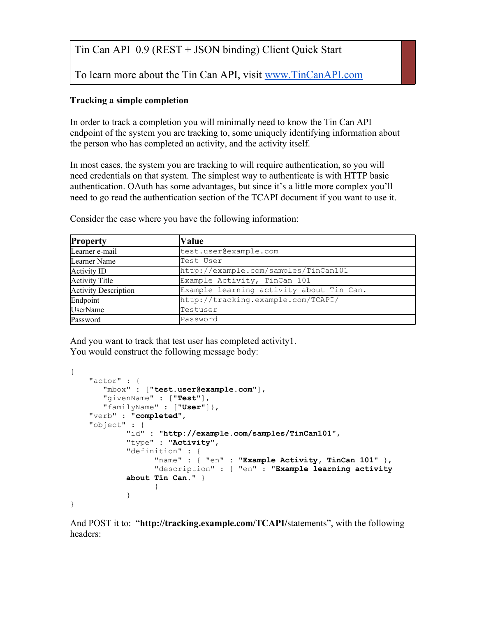To learn more about the Tin Can API, visit [www.TinCanAPI.com](http://www.tincanapi.com)

## **Tracking a simple completion**

In order to track a completion you will minimally need to know the Tin Can API endpoint of the system you are tracking to, some uniquely identifying information about the person who has completed an activity, and the activity itself.

In most cases, the system you are tracking to will require authentication, so you will need credentials on that system. The simplest way to authenticate is with HTTP basic authentication. OAuth has some advantages, but since it's a little more complex you'll need to go read the authentication section of the TCAPI document if you want to use it.

| <b>Property</b>             | Value                                    |
|-----------------------------|------------------------------------------|
| Learner e-mail              | test.user@example.com                    |
| Learner Name                | Test User                                |
| Activity ID                 | http://example.com/samples/TinCan101     |
| Activity Title              | Example Activity, TinCan 101             |
| <b>Activity Description</b> | Example learning activity about Tin Can. |
| Endpoint                    | http://tracking.example.com/TCAPI/       |
| UserName                    | Testuser                                 |
| Password                    | Password                                 |

Consider the case where you have the following information:

And you want to track that test user has completed activity1. You would construct the following message body:

```
{
     "actor" : {
        "mbox" : ["test.user@example.com"], 
        "givenName" : ["Test"],
        "familyName" : ["User"]},
     "verb" : "completed",
     "object" : {
            "id" : "http://example.com/samples/TinCan101",
            "type" : "Activity",
            "definition" : {
                   "name" : { "en" : "Example Activity, TinCan 101" },
                   "description" : { "en" : "Example learning activity 
            about Tin Can." }
                  }
            }
}
```
And POST it to: "**http://tracking.example.com/TCAPI/**statements", with the following headers: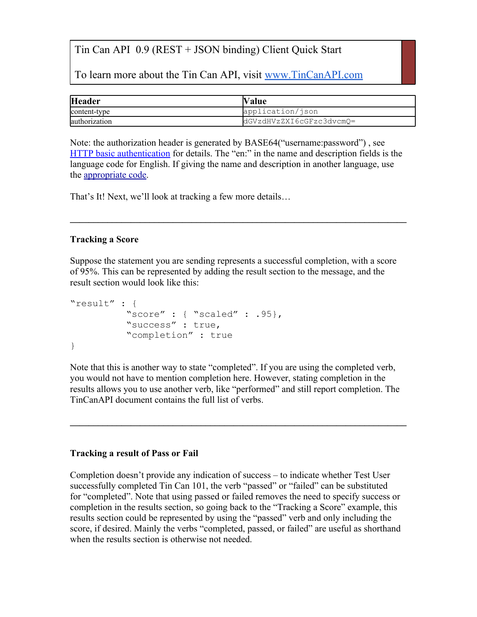To learn more about the Tin Can API, visit [www.TinCanAPI.com](http://www.tincanapi.com)

| <b>Header</b> | Value                    |
|---------------|--------------------------|
| content-type  | application/ison         |
| authorization | dGVzdHVzZXI6cGFzc3dvcmQ= |

Note: the authorization header is generated by BASE64("username:password") , see [HTTP](https://secure.wikimedia.org/wikipedia/en/wiki/Basic_access_authentication) [basic](https://secure.wikimedia.org/wikipedia/en/wiki/Basic_access_authentication) [authentication](https://secure.wikimedia.org/wikipedia/en/wiki/Basic_access_authentication) for details. The "en:" in the name and description fields is the language code for English. If giving the name and description in another language, use the [appropriate](http://tools.ietf.org/html/rfc5646) [code.](http://tools.ietf.org/html/rfc5646)

**\_\_\_\_\_\_\_\_\_\_\_\_\_\_\_\_\_\_\_\_\_\_\_\_\_\_\_\_\_\_\_\_\_\_\_\_\_\_\_\_\_\_\_\_\_\_\_\_\_\_\_\_\_\_\_\_\_\_\_\_\_\_\_\_\_\_\_\_\_\_\_\_**

That's It! Next, we'll look at tracking a few more details…

### **Tracking a Score**

Suppose the statement you are sending represents a successful completion, with a score of 95%. This can be represented by adding the result section to the message, and the result section would look like this:

```
"result" : {
          "score" : \{ "scaled" : .95},
          "success" : true,
          "completion" : true
}
```
Note that this is another way to state "completed". If you are using the completed verb, you would not have to mention completion here. However, stating completion in the results allows you to use another verb, like "performed" and still report completion. The TinCanAPI document contains the full list of verbs.

**\_\_\_\_\_\_\_\_\_\_\_\_\_\_\_\_\_\_\_\_\_\_\_\_\_\_\_\_\_\_\_\_\_\_\_\_\_\_\_\_\_\_\_\_\_\_\_\_\_\_\_\_\_\_\_\_\_\_\_\_\_\_\_\_\_\_\_\_\_\_\_\_**

### **Tracking a result of Pass or Fail**

Completion doesn't provide any indication of success – to indicate whether Test User successfully completed Tin Can 101, the verb "passed" or "failed" can be substituted for "completed". Note that using passed or failed removes the need to specify success or completion in the results section, so going back to the "Tracking a Score" example, this results section could be represented by using the "passed" verb and only including the score, if desired. Mainly the verbs "completed, passed, or failed" are useful as shorthand when the results section is otherwise not needed.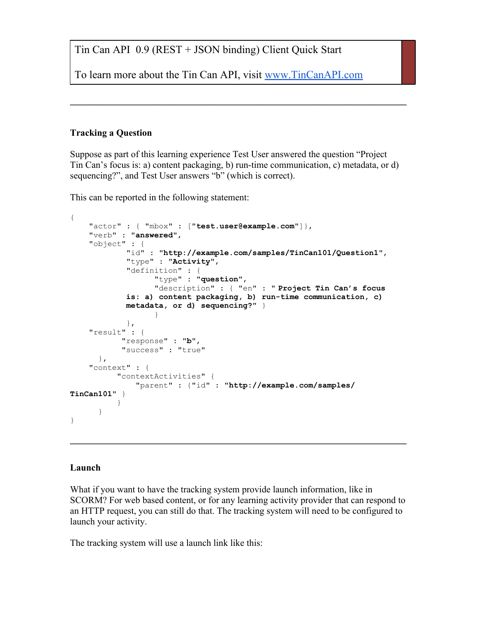To learn more about the Tin Can API, visit [www.TinCanAPI.com](http://www.tincanapi.com)

### **Tracking a Question**

Suppose as part of this learning experience Test User answered the question "Project Tin Can's focus is: a) content packaging, b) run-time communication, c) metadata, or d) sequencing?", and Test User answers "b" (which is correct).

**\_\_\_\_\_\_\_\_\_\_\_\_\_\_\_\_\_\_\_\_\_\_\_\_\_\_\_\_\_\_\_\_\_\_\_\_\_\_\_\_\_\_\_\_\_\_\_\_\_\_\_\_\_\_\_\_\_\_\_\_\_\_\_\_\_\_\_\_\_\_\_\_**

This can be reported in the following statement:

```
{
     "actor" : { "mbox" : ["test.user@example.com"]},
     "verb" : "answered",
     "object" : {
            "id" : "http://example.com/samples/TinCan101/Question1",
            "type" : "Activity",
            "definition" : {
                   "type" : "question", 
                   "description" : { "en" : " Project Tin Can's focus 
            is: a) content packaging, b) run-time communication, c) 
            metadata, or d) sequencing?" }
                  }
            },
     "result" : {
            "response" : "b",
            "success" : "true"
      },
     "context" : {
           "contextActivities" {
               "parent" : {"id" : "http://example.com/samples/
TinCan101" } 
           }
      }
}
```
#### **Launch**

What if you want to have the tracking system provide launch information, like in SCORM? For web based content, or for any learning activity provider that can respond to an HTTP request, you can still do that. The tracking system will need to be configured to launch your activity.

**\_\_\_\_\_\_\_\_\_\_\_\_\_\_\_\_\_\_\_\_\_\_\_\_\_\_\_\_\_\_\_\_\_\_\_\_\_\_\_\_\_\_\_\_\_\_\_\_\_\_\_\_\_\_\_\_\_\_\_\_\_\_\_\_\_\_\_\_\_\_\_\_**

The tracking system will use a launch link like this: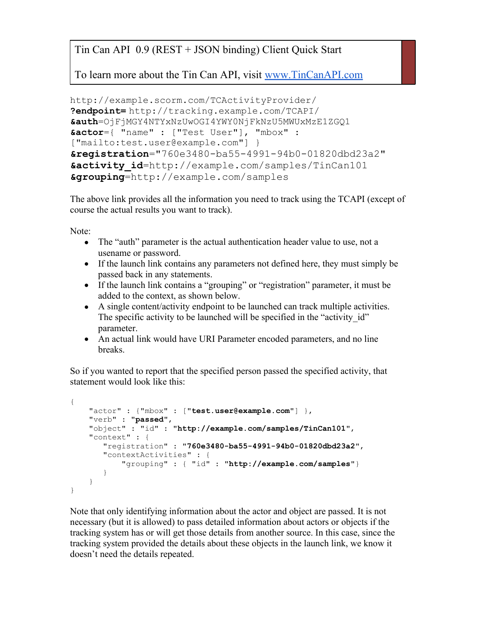To learn more about the Tin Can API, visit [www.TinCanAPI.com](http://www.tincanapi.com)

```
http://example.scorm.com/TCActivityProvider/
?endpoint= http://tracking.example.com/TCAPI/
&auth=OjFjMGY4NTYxNzUwOGI4YWY0NjFkNzU5MWUxMzE1ZGQ1
&actor={ "name" : ["Test User"], "mbox" : 
["mailto:test.user@example.com"] }
&registration="760e3480-ba55-4991-94b0-01820dbd23a2"
&activity_id=http://example.com/samples/TinCan101
&grouping=http://example.com/samples
```
The above link provides all the information you need to track using the TCAPI (except of course the actual results you want to track).

Note:

- The "auth" parameter is the actual authentication header value to use, not a usename or password.
- If the launch link contains any parameters not defined here, they must simply be passed back in any statements.
- If the launch link contains a "grouping" or "registration" parameter, it must be added to the context, as shown below.
- A single content/activity endpoint to be launched can track multiple activities. The specific activity to be launched will be specified in the "activity id" parameter.
- An actual link would have URI Parameter encoded parameters, and no line breaks.

So if you wanted to report that the specified person passed the specified activity, that statement would look like this:

```
{
     "actor" : {"mbox" : ["test.user@example.com"] },
 "verb" : "passed",
 "object" : "id" : "http://example.com/samples/TinCan101",
     "context" : {
        "registration" : "760e3480-ba55-4991-94b0-01820dbd23a2",
        "contextActivities" : {
            "grouping" : { "id" : "http://example.com/samples"}
        }
     }
}
```
Note that only identifying information about the actor and object are passed. It is not necessary (but it is allowed) to pass detailed information about actors or objects if the tracking system has or will get those details from another source. In this case, since the tracking system provided the details about these objects in the launch link, we know it doesn't need the details repeated.